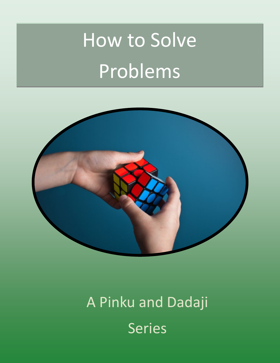# How to Solve Problems



## A Pinku and Dadaji Series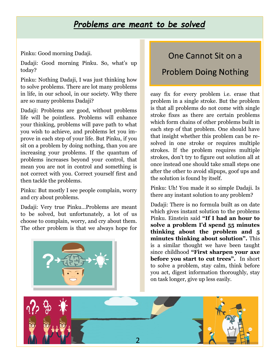#### *Problems are meant to be solved*

Pinku: Good morning Dadaji.

Dadaji: Good morning Pinku. So, what's up today?

Pinku: Nothing Dadaji, I was just thinking how to solve problems. There are lot many problems in life, in our school, in our society. Why there are so many problems Dadaji?

Dadaji: Problems are good, without problems life will be pointless. Problems will enhance your thinking, problems will pave path to what you wish to achieve, and problems let you improve in each step of your life. But Pinku, if you sit on a problem by doing nothing, than you are increasing your problems. If the quantum of problems increases beyond your control, that mean you are not in control and something is not correct with you. Correct yourself first and then tackle the problems.

Pinku: But mostly I see people complain, worry and cry about problems.

Dadaji: Very true Pinku…Problems are meant to be solved, but unfortunately, a lot of us choose to complain, worry, and cry about them. The other problem is that we always hope for



#### One Cannot Sit on a

#### Problem Doing Nothing

easy fix for every problem i.e. erase that problem in a single stroke. But the problem is that all problems do not come with single stroke fixes as there are certain problems which form chains of other problems built in each step of that problem. One should have that insight whether this problem can be resolved in one stroke or requires multiple strokes. If the problem requires multiple strokes, don't try to figure out solution all at once instead one should take small steps one after the other to avoid slipups, goof ups and the solution is found by itself.

Pinku: Uh! You made it so simple Dadaji. Is there any instant solution to any problem?

Dadaji: There is no formula built as on date which gives instant solution to the problems Pinku. Einstein said **"If I had an hour to solve a problem I'd spend 55 minutes thinking about the problem and 5 minutes thinking about solution".** This is a similar thought we have been taught since childhood **"First sharpen your axe before you start to cut trees".** In short to solve a problem, stay calm, think before you act, digest information thoroughly, stay on task longer, give up less easily.

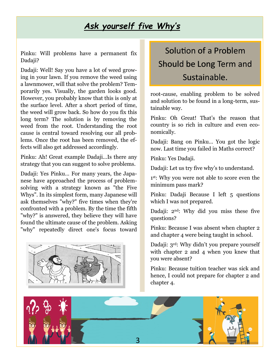#### *Ask yourself five Why's*

Pinku: Will problems have a permanent fix Dadaji?

Dadaji: Well! Say you have a lot of weed growing in your lawn. If you remove the weed using a lawnmower, will that solve the problem? Temporarily yes. Visually, the garden looks good. However, you probably know that this is only at the surface level. After a short period of time, the weed will grow back. So how do you fix this long term? The solution is by removing the weed from the root. Understanding the root cause is central toward resolving our all problems. Once the root has been removed, the effects will also get addressed accordingly.

Pinku: Ah! Great example Dadaji…Is there any strategy that you can suggest to solve problems.

Dadaji: Yes Pinku… For many years, the Japanese have approached the process of problemsolving with a strategy known as "the Five Whys". In its simplest form, many Japanese will ask themselves "why?" five times when they're confronted with a problem. By the time the fifth "why?" is answered, they believe they will have found the ultimate cause of the problem. Asking "why" repeatedly direct one's focus toward



## Solution of a Problem Should be Long Term and Sustainable.

root-cause, enabling problem to be solved and solution to be found in a long-term, sustainable way.

Pinku: Oh Great! That's the reason that country is so rich in culture and even economically.

Dadaji: Bang on Pinku… You got the logic now. Last time you failed in Maths correct?

Pinku: Yes Dadaji.

Dadaji: Let us try five why's to understand.

1 st: Why you were not able to score even the minimum pass mark?

Pinku: Dadaji Because I left 5 questions which I was not prepared.

Dadaji: 2nd: Why did you miss these five questions?

Pinku: Because I was absent when chapter 2 and chapter 4 were being taught in school.

Dadaji: 3rd: Why didn't you prepare yourself with chapter 2 and 4 when you knew that you were absent?

Pinku: Because tuition teacher was sick and hence, I could not prepare for chapter 2 and chapter 4.

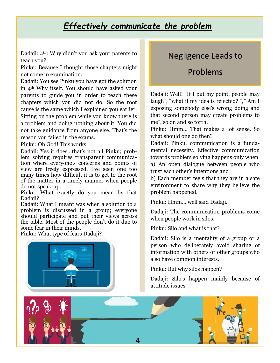#### *Effectively communicate the problem*

Dadaji: 4th: Why didn't you ask your parents to teach you?

Pinku: Because I thought those chapters might not come in examination.

Dadaji: You see Pinku you have got the solution in 4th Why itself. You should have asked your parents to guide you in order to teach these chapters which you did not do. So the root cause is the same which I explained you earlier. Sitting on the problem while you know there is a problem and doing nothing about it. You did not take guidance from anyone else. That's the reason you failed in the exams.

Pinku: Oh God! This works

Dadaji: Yes it does…that's not all Pinku; problem solving requires transparent communication where everyone's concerns and points of view are freely expressed. I've seen one too many times how difficult it is to get to the root of the matter in a timely manner when people do not speak-up.

Pinku: What exactly do you mean by that Dadaji?

Dadaji: What I meant was when a solution to a problem is discussed in a group; everyone should participate and put their views across the table. Most of the people don't do it due to some fear in their minds.

Pinku: What type of fears Dadaji?



#### Negligence Leads to

#### Problems

Dadaji: Well! "If I put my point, people may laugh", "what if my idea is rejected? "," Am I exposing somebody else's wrong doing and that second person may create problems to me", so on and so forth.

Pinku: Hmm… That makes a lot sense. So what should one do then?

Dadaji: Pinku, communication is a fundamental necessity. Effective communication towards problem solving happens only when a) An open dialogue between people who trust each other's intentions and

b) Each member feels that they are in a safe environment to share why they believe the problem happened.

Pinku: Hmm… well said Dadaji.

Dadaji: The communication problems come when people work in silos.

Pinku: Silo and what is that?

Dadaji: Silo is a mentality of a group or a person who deliberately avoid sharing of information with others or other groups who also have common interests.

Pinku: But why silos happen?

Dadaji: Silo's happen mainly because of attitude issues.

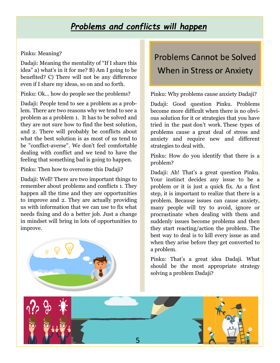#### *Problems and conflicts will happen*

#### Pinku: Meaning?

Dadaji: Meaning the mentality of "If I share this idea" a) what's in it for me? B) Am I going to be benefited? C) There will not be any difference even if I share my ideas, so on and so forth.

Pinku: Ok… how do people see the problems?

Dadaji: People tend to see a problem as a problem. There are two reasons why we tend to see a problem as a problem 1. It has to be solved and they are not sure how to find the best solution, and 2. There will probably be conflicts about what the best solution is as most of us tend to be "conflict-averse". We don't feel comfortable dealing with conflict and we tend to have the feeling that something bad is going to happen.

Pinku: Then how to overcome this Dadaji?

Dadaji: Well! There are two important things to remember about problems and conflicts 1. They happen all the time and they are opportunities to improve and 2. They are actually providing us with information that we can use to fix what needs fixing and do a better job. Just a change in mindset will bring in lots of opportunities to improve.



## Problems Cannot be Solved When in Stress or Anxiety

Pinku: Why problems cause anxiety Dadaji?

Dadaji: Good question Pinku. Problems become more difficult when there is no obvious solution for it or strategies that you have tried in the past don't work. These types of problems cause a great deal of stress and anxiety and require new and different strategies to deal with.

Pinku: How do you identify that there is a problem?

Dadaji: Ah! That's a great question Pinku. Your instinct decides any issue to be a problem or it is just a quick fix. As a first step, it is important to realize that there is a problem. Because issues can cause anxiety, many people will try to avoid, ignore or procrastinate when dealing with them and suddenly issues become problems and then they start reacting/action the problem. The best way to deal is to kill every issue as and when they arise before they get converted to a problem.

Pinku: That's a great idea Dadaji. What should be the most appropriate strategy solving a problem Dadaji?

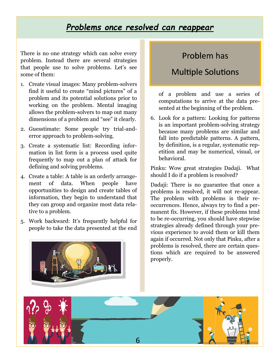#### *Problems once resolved can reappear*

There is no one strategy which can solve every problem. Instead there are several strategies that people use to solve problems. Let's see some of them:

- 1. Create visual images: Many problem-solvers find it useful to create "mind pictures" of a problem and its potential solutions prior to working on the problem. Mental imaging allows the problem-solvers to map out many dimensions of a problem and "see" it clearly.
- 2. Guesstimate: Some people try trial-anderror approach to problem-solving.
- 3. Create a systematic list: Recording information in list form is a process used quite frequently to map out a plan of attack for defining and solving problems.
- 4. Create a table: A table is an orderly arrangement of data. When people have opportunities to design and create tables of information, they begin to understand that they can group and organize most data relative to a problem.
- 5. Work backward: It's frequently helpful for people to take the data presented at the end



#### Problem has

#### Multiple Solutions

of a problem and use a series of computations to arrive at the data presented at the beginning of the problem.

6. Look for a pattern: Looking for patterns is an important problem-solving strategy because many problems are similar and fall into predictable patterns. A pattern, by definition, is a regular, systematic repetition and may be numerical, visual, or behavioral.

Pinku: Wow great strategies Dadaji. What should I do if a problem is resolved?

Dadaji: There is no guarantee that once a problems is resolved, it will not re-appear. The problem with problems is their reoccurrences. Hence, always try to find a permanent fix. However, if these problems tend to be re-occurring, you should have stepwise strategies already defined through your previous experience to avoid them or kill them again if occurred. Not only that Pinku, after a problems is resolved, there are certain questions which are required to be answered properly.

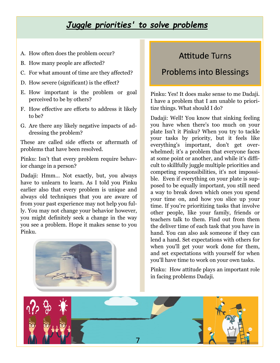#### *Juggle priorities' to solve problems*

- A. How often does the problem occur?
- B. How many people are affected?
- C. For what amount of time are they affected?
- D. How severe (significant) is the effect?
- E. How important is the problem or goal perceived to be by others?
- F. How effective are efforts to address it likely to be?
- G. Are there any likely negative impacts of addressing the problem?

These are called side effects or aftermath of problems that have been resolved.

Pinku: Isn't that every problem require behavior change in a person?

Dadaji: Hmm… Not exactly, but, you always have to unlearn to learn. As I told you Pinku earlier also that every problem is unique and always old techniques that you are aware of from your past experience may not help you fully. You may not change your behavior however, you might definitely seek a change in the way you see a problem. Hope it makes sense to you Pinku.



#### Attitude Turns

#### Problems into Blessings

Pinku: Yes! It does make sense to me Dadaji. I have a problem that I am unable to prioritize things. What should I do?

Dadaji: Well! You know that sinking feeling you have when there's too much on your plate Isn't it Pinku? When you try to tackle your tasks by priority, but it feels like everything's important, don't get overwhelmed; it's a problem that everyone faces at some point or another, and while it's difficult to skillfully juggle multiple priorities and competing responsibilities, it's not impossible. Even if everything on your plate is supposed to be equally important, you still need a way to break down which ones you spend your time on, and how you slice up your time. If you're prioritizing tasks that involve other people, like your family, friends or teachers talk to them. Find out from them the deliver time of each task that you have in hand. You can also ask someone if they can lend a hand. Set expectations with others for when you'll get your work done for them, and set expectations with yourself for when you'll have time to work on your own tasks.

Pinku: How attitude plays an important role in facing problems Dadaji.

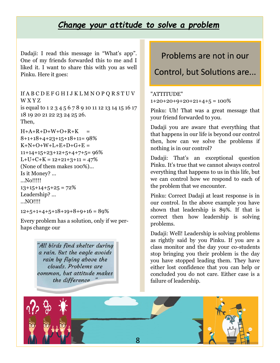#### *Change your attitude to solve a problem*

Dadaji: I read this message in "What's app". One of my friends forwarded this to me and I liked it. I want to share this with you as well Pinku. Here it goes:

If A B C D E F G H I J K L M N O P Q R S T U V W X Y Z is equal to 1 2 3 4 5 6 7 8 9 10 11 12 13 14 15 16 17 18 19 20 21 22 23 24 25 26. Then,

 $H+A+R+D+W+O+R+K =$ 8+1+18+4+23+15+18+11= 98%  $K+N+O+W+L+E+D+G+E =$  $11+14+15+23+12+5+4+7+5=96%$  $L+U+C+K = 12+21+3+11 = 47%$ (None of them makes 100%)... Is it Money? ... ...No!!!!!  $13+15+14+5+25 = 72%$ Leadership? ... ...NO!!!!

 $12+5+1+4+5+18+19+8+9+16 = 89%$ 

Every problem has a solution, only if we perhaps change our

> "All birds find shelter during a rain. But the eagle avoids rain by flying above the clouds. Problems are common, but attitude makes the difference

#### Problems are not in our

Control, but Solutions are...

"ATTITUDE"  $1+20+20+9+20+21+4+5 = 100\%$ 

Pinku: Uh! That was a great message that your friend forwarded to you.

Dadaji you are aware that everything that that happens in our life is beyond our control then, how can we solve the problems if nothing is in our control?

Dadaji: That's an exceptional question Pinku. It's true that we cannot always control everything that happens to us in this life, but we can control how we respond to each of the problem that we encounter.

Pinku: Correct Dadaji at least response is in our control. In the above example you have shown that leadership is 89%. If that is correct then how leadership is solving problems.

Dadaji: Well! Leadership is solving problems as rightly said by you Pinku. If you are a class monitor and the day your co-students stop bringing you their problem is the day you have stopped leading them. They have either lost confidence that you can help or concluded you do not care. Either case is a failure of leadership.

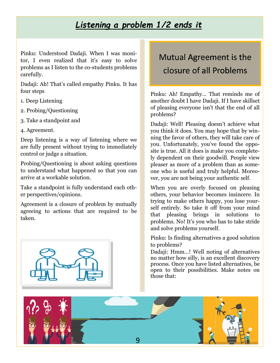#### *Listening a problem 1/2 ends it*

Pinku: Understood Dadaji. When I was monitor, I even realized that it's easy to solve problems as I listen to the co-students problems carefully.

Dadaji: Ah! That's called empathy Pinku. It has four steps

- 1. Deep Listening
- 2. Probing/Questioning
- 3. Take a standpoint and
- 4. Agreement.

Deep listening is a way of listening where we are fully present without trying to immediately control or judge a situation.

Probing/Questioning is about asking questions to understand what happened so that you can arrive at a workable solution.

Take a standpoint is fully understand each other perspectives/opinions.

Agreement is a closure of problem by mutually agreeing to actions that are required to be taken.



## Mutual Agreement is the closure of all Problems

Pinku: Ah! Empathy… That reminds me of another doubt I have Dadaji. If I have skillset of pleasing everyone isn't that the end of all problems?

Dadaji: Well! Pleasing doesn't achieve what you think it does. You may hope that by winning the favor of others, they will take care of you. Unfortunately, you've found the opposite is true. All it does is make you completely dependent on their goodwill. People view pleaser as more of a problem than as someone who is useful and truly helpful. Moreover, you are not being your authentic self.

When you are overly focused on pleasing others, your behavior becomes insincere. In trying to make others happy, you lose yourself entirely. So take it off from your mind that pleasing brings in solutions to problems. No! It's you who has to take stride and solve problems yourself.

Pinku: Is finding alternatives a good solution to problems?

Dadaji: Hmm…! Well noting of alternatives no matter how silly, is an excellent discovery process. Once you have listed alternatives, be open to their possibilities. Make notes on those that:

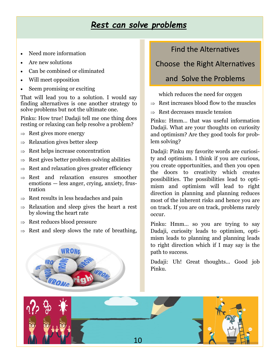#### *Rest can solve problems*

- Need more information
- Are new solutions
- Can be combined or eliminated
- Will meet opposition
- Seem promising or exciting

That will lead you to a solution. I would say finding alternatives is one another strategy to solve problems but not the ultimate one.

Pinku: How true! Dadaji tell me one thing does resting or relaxing can help resolve a problem?

- $\Rightarrow$  Rest gives more energy
- $\Rightarrow$  Relaxation gives better sleep
- $\Rightarrow$  Rest helps increase concentration
- $\Rightarrow$  Rest gives better problem-solving abilities
- $\Rightarrow$  Rest and relaxation gives greater efficiency
- $\Rightarrow$  Rest and relaxation ensures smoother emotions — less anger, crying, anxiety, frustration
- $\Rightarrow$  Rest results in less headaches and pain
- $\Rightarrow$  Relaxation and sleep gives the heart a rest by slowing the heart rate
- $\Rightarrow$  Rest reduces blood pressure
- $\Rightarrow$  Rest and sleep slows the rate of breathing,



#### Choose the Right Alternatives

#### and Solve the Problems

which reduces the need for oxygen

- $\Rightarrow$  Rest increases blood flow to the muscles
- $\Rightarrow$  Rest decreases muscle tension

Pinku: Hmm… that was useful information Dadaji. What are your thoughts on curiosity and optimism? Are they good tools for problem solving?

Dadaji: Pinku my favorite words are curiosity and optimism. I think if you are curious, you create opportunities, and then you open the doors to creativity which creates possibilities. The possibilities lead to optimism and optimism will lead to right direction in planning and planning reduces most of the inherent risks and hence you are on track. If you are on track, problems rarely occur.

Pinku: Hmm… so you are trying to say Dadaji, curiosity leads to optimism, optimism leads to planning and planning leads to right direction which if I may say is the path to success.

Dadaji: Uh! Great thoughts... Good job Pinku.

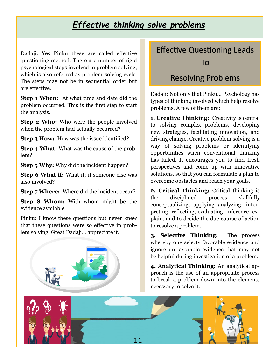#### *Effective thinking solve problems*

Dadaji: Yes Pinku these are called effective questioning method. There are number of rigid psychological steps involved in problem solving, which is also referred as problem-solving cycle. The steps may not be in sequential order but are effective.

**Step 1 When:** At what time and date did the problem occurred. This is the first step to start the analysis.

**Step 2 Who:** Who were the people involved when the problem had actually occurred?

**Step 3 How:** How was the issue identified?

**Step 4 What:** What was the cause of the problem?

**Step 5 Why:** Why did the incident happen?

**Step 6 What if:** What if; if someone else was also involved?

**Step 7 Where:** Where did the incident occur?

**Step 8 Whom:** With whom might be the evidence available

Pinku: I know these questions but never knew that these questions were so effective in problem solving. Great Dadaji… appreciate it.



### Effective Questioning Leads To

#### Resolving Problems

Dadaji: Not only that Pinku… Psychology has types of thinking involved which help resolve problems. A few of them are:

**1. Creative Thinking:** Creativity is central to solving complex problems, developing new strategies, facilitating innovation, and driving change. Creative problem solving is a way of solving problems or identifying opportunities when conventional thinking has failed. It encourages you to find fresh perspectives and come up with innovative solutions, so that you can formulate a plan to overcome obstacles and reach your goals.

**2. Critical Thinking:** Critical thinking is the disciplined process skillfully conceptualizing, applying analyzing, interpreting, reflecting, evaluating, inference, explain, and to decide the due course of action to resolve a problem.

**3. Selective Thinking:** The process whereby one selects favorable evidence and ignore un-favorable evidence that may not be helpful during investigation of a problem.

**4. Analytical Thinking:** An analytical approach is the use of an appropriate process to break a problem down into the elements necessary to solve it.

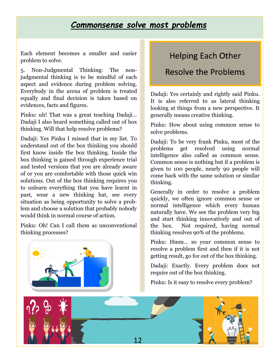#### *Commonsense solve most problems*

Each element becomes a smaller and easier problem to solve.

5. Non-Judgmental Thinking: The nonjudgmental thinking is to be mindful of each aspect and evidence during problem solving. Everybody in the arena of problem is treated equally and final decision is taken based on evidences, facts and figures.

Pinku: uh! That was a great teaching Dadaji… Dadaji I also heard something called out of box thinking. Will that help resolve problems?

Dadaji: Yes Pinku I missed that in my list. To understand out of the box thinking you should first know inside the box thinking. Inside the box thinking is gained through experience trial and tested versions that you are already aware of or you are comfortable with those quick win solutions. Out of the box thinking requires you to unlearn everything that you have learnt in past, wear a new thinking hat, see every situation as being opportunity to solve a problem and choose a solution that probably nobody would think in normal course of action.

Pinku: Oh! Can I call them as unconventional thinking processes?



#### Helping Each Other

#### Resolve the Problems

Dadaji: Yes certainly and rightly said Pinku. It is also referred to as lateral thinking looking at things from a new perspective. It generally means creative thinking.

Pinku: How about using common sense to solve problems.

Dadaji: To be very frank Pinku, most of the problems get resolved using normal intelligence also called as common sense. Common sense is nothing but if a problem is given to 100 people, nearly 90 people will come back with the same solution or similar thinking.

Generally in order to resolve a problem quickly, we often ignore common sense or normal intelligence which every human naturally have. We see the problem very big and start thinking innovatively and out of the box. Not required, having normal thinking resolves 90% of the problems.

Pinku: Hmm… so your common sense to resolve a problem first and then if it is not getting result, go for out of the box thinking.

Dadaji: Exactly. Every problem does not require out of the box thinking.

Pinku: Is it easy to resolve every problem?